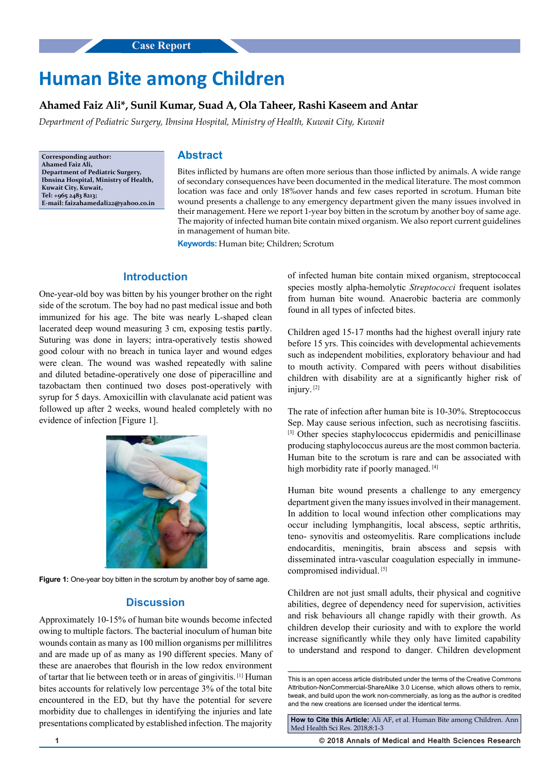# **Human Bite among Children**

### **Ahamed Faiz Ali\*, Sunil Kumar, Suad A, Ola Taheer, Rashi Kaseem and Antar**

*Department of Pediatric Surgery, Ibnsina Hospital, Ministry of Health, Kuwait City, Kuwait*

**Corresponding author: Ahamed Faiz Ali, Department of Pediatric Surgery, Ibnsina Hospital, Ministry of Health, Kuwait City, Kuwait, Tel: +965 2483 8213; E-mail: faizahamedali22@yahoo.co.in**

### **Abstract**

Bites inflicted by humans are often more serious than those inflicted by animals. A wide range of secondary consequences have been documented in the medical literature. The most common location was face and only 18%over hands and few cases reported in scrotum. Human bite wound presents a challenge to any emergency department given the many issues involved in their management. Here we report 1-year boy bitten in the scrotum by another boy of same age. The majority of infected human bite contain mixed organism. We also report current guidelines in management of human bite.

**Keywords:** Human bite; Children; Scrotum

## **Introduction**

One-year-old boy was bitten by his younger brother on the right side of the scrotum. The boy had no past medical issue and both immunized for his age. The bite was nearly L-shaped clean lacerated deep wound measuring 3 cm, exposing testis pa**r**tly. Suturing was done in layers; intra-operatively testis showed good colour with no breach in tunica layer and wound edges were clean. The wound was washed repeatedly with saline and diluted betadine-operatively one dose of piperacilline and tazobactam then continued two doses post-operatively with syrup for 5 days. Amoxicillin with clavulanate acid patient was followed up after 2 weeks, wound healed completely with no evidence of infection [Figure 1].



**Figure 1:** One-year boy bitten in the scrotum by another boy of same age.

#### **Discussion**

Approximately 10-15% of human bite wounds become infected owing to multiple factors. The bacterial inoculum of human bite wounds contain as many as 100 million organisms per millilitres and are made up of as many as 190 different species. Many of these are anaerobes that flourish in the low redox environment of tartar that lie between teeth or in areas of gingivitis. [1] Human bites accounts for relatively low percentage 3% of the total bite encountered in the ED, but thy have the potential for severe morbidity due to challenges in identifying the injuries and late presentations complicated by established infection. The majority of infected human bite contain mixed organism, streptococcal species mostly alpha-hemolytic *Streptococci* frequent isolates from human bite wound. Anaerobic bacteria are commonly found in all types of infected bites.

Children aged 15-17 months had the highest overall injury rate before 15 yrs. This coincides with developmental achievements such as independent mobilities, exploratory behaviour and had to mouth activity. Compared with peers without disabilities children with disability are at a significantly higher risk of injury. [2]

The rate of infection after human bite is 10-30%. Streptococcus Sep. May cause serious infection, such as necrotising fasciitis. [3] Other species staphylococcus epidermidis and penicillinase producing staphylococcus aureus are the most common bacteria. Human bite to the scrotum is rare and can be associated with high morbidity rate if poorly managed. [4]

Human bite wound presents a challenge to any emergency department given the many issues involved in their management. In addition to local wound infection other complications may occur including lymphangitis, local abscess, septic arthritis, teno- synovitis and osteomyelitis. Rare complications include endocarditis, meningitis, brain abscess and sepsis with disseminated intra-vascular coagulation especially in immunecompromised individual.<sup>[5]</sup>

Children are not just small adults, their physical and cognitive abilities, degree of dependency need for supervision, activities and risk behaviours all change rapidly with their growth. As children develop their curiosity and with to explore the world increase significantly while they only have limited capability to understand and respond to danger. Children development

**How to Cite this Article:** Ali AF, et al. Human Bite among Children. Ann Med Health Sci Res. 2018;8:1-3

**1 © 2018 Annals of Medical and Health Sciences Research** 

This is an open access article distributed under the terms of the Creative Commons Attribution-NonCommercial-ShareAlike 3.0 License, which allows others to remix, tweak, and build upon the work non‑commercially, as long as the author is credited and the new creations are licensed under the identical terms.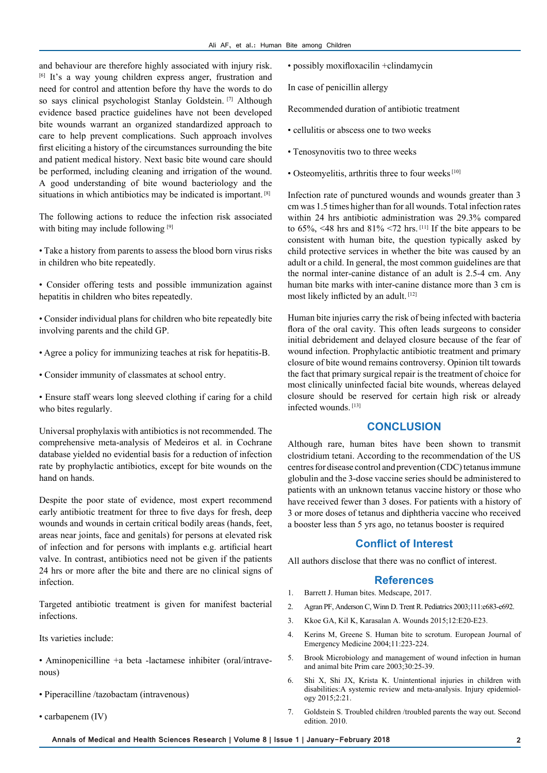and behaviour are therefore highly associated with injury risk. [6] It's a way young children express anger, frustration and need for control and attention before thy have the words to do so says clinical psychologist Stanlay Goldstein. [7] Although evidence based practice guidelines have not been developed bite wounds warrant an organized standardized approach to care to help prevent complications. Such approach involves first eliciting a history of the circumstances surrounding the bite and patient medical history. Next basic bite wound care should be performed, including cleaning and irrigation of the wound. A good understanding of bite wound bacteriology and the situations in which antibiotics may be indicated is important. <sup>[8]</sup>

The following actions to reduce the infection risk associated with biting may include following [9]

• Take a history from parents to assess the blood born virus risks in children who bite repeatedly.

• Consider offering tests and possible immunization against hepatitis in children who bites repeatedly.

• Consider individual plans for children who bite repeatedly bite involving parents and the child GP.

- Agree a policy for immunizing teaches at risk for hepatitis-B.
- Consider immunity of classmates at school entry.

• Ensure staff wears long sleeved clothing if caring for a child who bites regularly.

Universal prophylaxis with antibiotics is not recommended. The comprehensive meta-analysis of Medeiros et al. in Cochrane database yielded no evidential basis for a reduction of infection rate by prophylactic antibiotics, except for bite wounds on the hand on hands.

Despite the poor state of evidence, most expert recommend early antibiotic treatment for three to five days for fresh, deep wounds and wounds in certain critical bodily areas (hands, feet, areas near joints, face and genitals) for persons at elevated risk of infection and for persons with implants e.g. artificial heart valve. In contrast, antibiotics need not be given if the patients 24 hrs or more after the bite and there are no clinical signs of infection.

Targeted antibiotic treatment is given for manifest bacterial infections.

Its varieties include:

• Aminopenicilline +a beta -lactamese inhibiter (oral/intravenous)

- Piperacilline /tazobactam (intravenous)
- carbapenem (IV)

• possibly moxifloxacilin +clindamycin

In case of penicillin allergy

Recommended duration of antibiotic treatment

- cellulitis or abscess one to two weeks
- Tenosynovitis two to three weeks
- Osteomyelitis, arthritis three to four weeks [10]

Infection rate of punctured wounds and wounds greater than 3 cm was 1.5 times higher than for all wounds. Total infection rates within 24 hrs antibiotic administration was 29.3% compared to  $65\%$ , <48 hrs and  $81\%$  <72 hrs. <sup>[11]</sup> If the bite appears to be consistent with human bite, the question typically asked by child protective services in whether the bite was caused by an adult or a child. In general, the most common guidelines are that the normal inter-canine distance of an adult is 2.5-4 cm. Any human bite marks with inter-canine distance more than 3 cm is most likely inflicted by an adult. [12]

Human bite injuries carry the risk of being infected with bacteria flora of the oral cavity. This often leads surgeons to consider initial debridement and delayed closure because of the fear of wound infection. Prophylactic antibiotic treatment and primary closure of bite wound remains controversy. Opinion tilt towards the fact that primary surgical repair is the treatment of choice for most clinically uninfected facial bite wounds, whereas delayed closure should be reserved for certain high risk or already infected wounds. [13]

#### **CONCLUSION**

Although rare, human bites have been shown to transmit clostridium tetani. According to the recommendation of the US centres for disease control and prevention (CDC) tetanus immune globulin and the 3-dose vaccine series should be administered to patients with an unknown tetanus vaccine history or those who have received fewer than 3 doses. For patients with a history of 3 or more doses of tetanus and diphtheria vaccine who received a booster less than 5 yrs ago, no tetanus booster is required

#### **Conflict of Interest**

All authors disclose that there was no conflict of interest.

#### **References**

- 1. Barrett J. Human bites. Medscape, 2017.
- 2. Agran PF, Anderson C, Winn D. Trent R. Pediatrics 2003;111:e683-e692.
- 3. Kkoe GA, Kil K, Karasalan A. Wounds 2015;12:E20-E23.
- 4. Kerins M, Greene S. Human bite to scrotum. European Journal of Emergency Medicine 2004;11:223-224.
- 5. Brook Microbiology and management of wound infection in human and animal bite Prim care 2003;30:25-39.
- 6. Shi X, Shi JX, Krista K. Unintentional injuries in children with disabilities:A systemic review and meta-analysis. Injury epidemiology 2015;2:21.
- 7. Goldstein S. Troubled children /troubled parents the way out. Second edition. 2010.